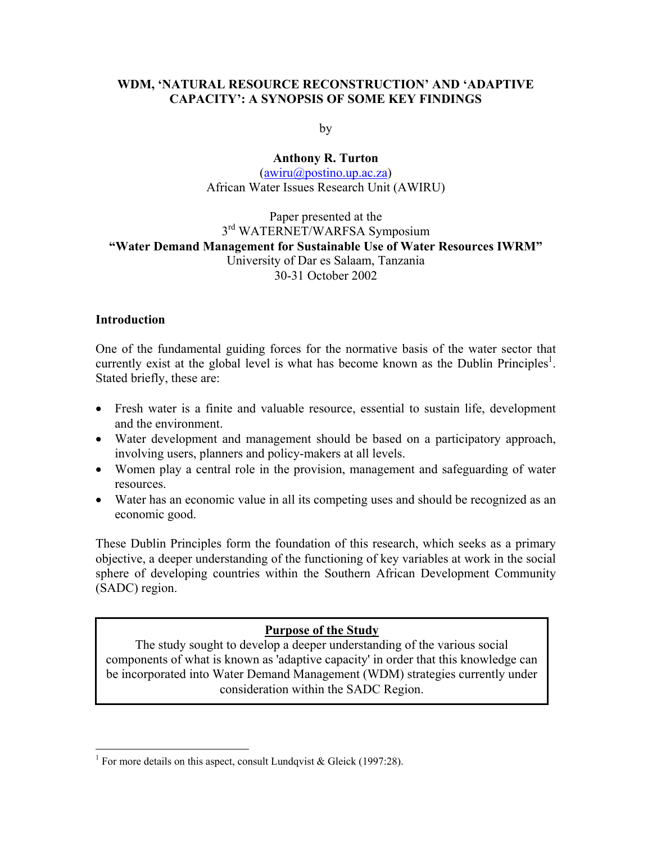### **WDM, 'NATURAL RESOURCE RECONSTRUCTION' AND 'ADAPTIVE CAPACITY': A SYNOPSIS OF SOME KEY FINDINGS**

by

**Anthony R. Turton**   $(awiru@postino.up.ac.za)$  $(awiru@postino.up.ac.za)$ African Water Issues Research Unit (AWIRU)

### Paper presented at the 3rd WATERNET/WARFSA Symposium **"Water Demand Management for Sustainable Use of Water Resources IWRM"**  University of Dar es Salaam, Tanzania 30-31 October 2002

#### **Introduction**

 $\overline{a}$ 

One of the fundamental guiding forces for the normative basis of the water sector that currently exist at the global level is what has become known as the Dublin Principles<sup>1</sup>. Stated briefly, these are:

- Fresh water is a finite and valuable resource, essential to sustain life, development and the environment.
- Water development and management should be based on a participatory approach, involving users, planners and policy-makers at all levels.
- Women play a central role in the provision, management and safeguarding of water resources.
- Water has an economic value in all its competing uses and should be recognized as an economic good.

These Dublin Principles form the foundation of this research, which seeks as a primary objective, a deeper understanding of the functioning of key variables at work in the social sphere of developing countries within the Southern African Development Community (SADC) region.

#### **Purpose of the Study**

The study sought to develop a deeper understanding of the various social components of what is known as 'adaptive capacity' in order that this knowledge can be incorporated into Water Demand Management (WDM) strategies currently under consideration within the SADC Region.

<span id="page-0-0"></span><sup>&</sup>lt;sup>1</sup> For more details on this aspect, consult Lundqvist & Gleick (1997:28).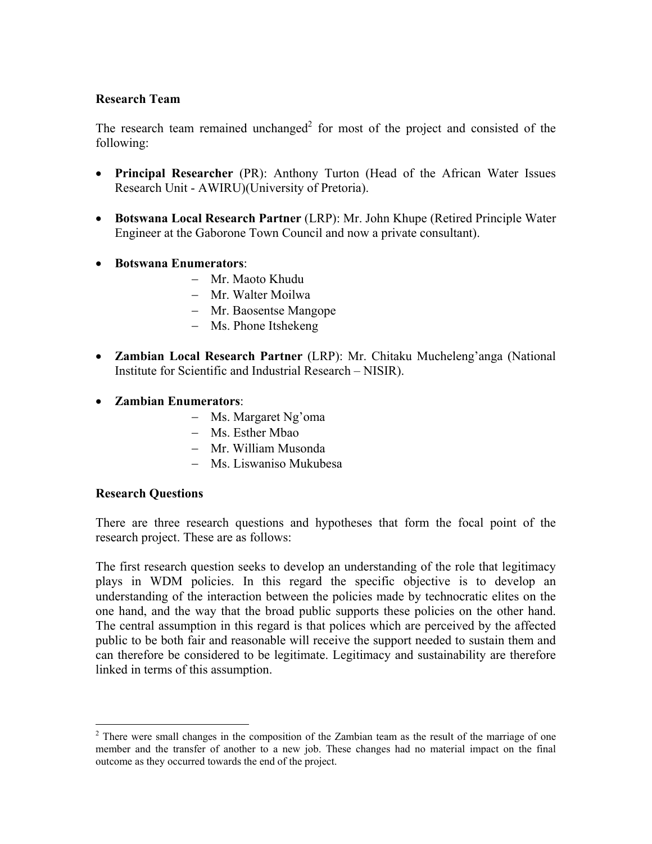### **Research Team**

The research team remained unchanged<sup>[2](#page-1-0)</sup> for most of the project and consisted of the following:

- **Principal Researcher** (PR): Anthony Turton (Head of the African Water Issues Research Unit - AWIRU)(University of Pretoria).
- **Botswana Local Research Partner** (LRP): Mr. John Khupe (Retired Principle Water Engineer at the Gaborone Town Council and now a private consultant).
- **Botswana Enumerators**:
	- − Mr. Maoto Khudu
	- − Mr. Walter Moilwa
	- − Mr. Baosentse Mangope
	- − Ms. Phone Itshekeng
- **Zambian Local Research Partner** (LRP): Mr. Chitaku Mucheleng'anga (National Institute for Scientific and Industrial Research – NISIR).
- **Zambian Enumerators**:
	- − Ms. Margaret Ng'oma
	- − Ms. Esther Mbao
	- − Mr. William Musonda
	- − Ms. Liswaniso Mukubesa

#### **Research Questions**

 $\overline{a}$ 

There are three research questions and hypotheses that form the focal point of the research project. These are as follows:

The first research question seeks to develop an understanding of the role that legitimacy plays in WDM policies. In this regard the specific objective is to develop an understanding of the interaction between the policies made by technocratic elites on the one hand, and the way that the broad public supports these policies on the other hand. The central assumption in this regard is that polices which are perceived by the affected public to be both fair and reasonable will receive the support needed to sustain them and can therefore be considered to be legitimate. Legitimacy and sustainability are therefore linked in terms of this assumption.

<span id="page-1-0"></span> $2$  There were small changes in the composition of the Zambian team as the result of the marriage of one member and the transfer of another to a new job. These changes had no material impact on the final outcome as they occurred towards the end of the project.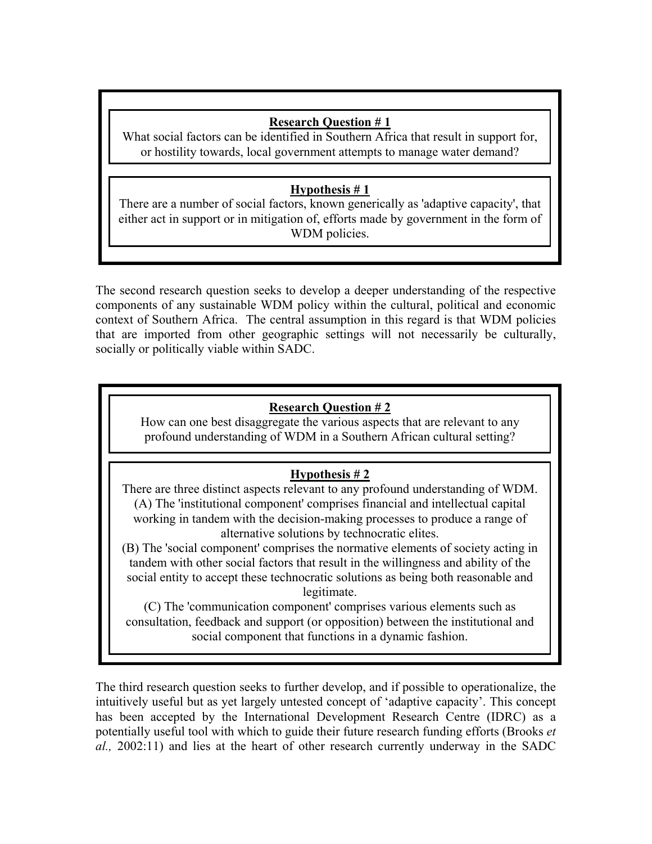## **Research Question # 1**

 $\overline{\phantom{a}}$ 

What social factors can be identified in Southern Africa that result in support for, or hostility towards, local government attempts to manage water demand?

## **Hypothesis # 1**

There are a number of social factors, known generically as 'adaptive capacity', that either act in support or in mitigation of, efforts made by government in the form of WDM policies.

The second research question seeks to develop a deeper understanding of the respective components of any sustainable WDM policy within the cultural, political and economic context of Southern Africa. The central assumption in this regard is that WDM policies that are imported from other geographic settings will not necessarily be culturally, socially or politically viable within SADC.

# **Research Question # 2**

How can one best disaggregate the various aspects that are relevant to any profound understanding of WDM in a Southern African cultural setting?

# **Hypothesis # 2**

There are three distinct aspects relevant to any profound understanding of WDM. (A) The 'institutional component' comprises financial and intellectual capital working in tandem with the decision-making processes to produce a range of alternative solutions by technocratic elites.

(B) The 'social component' comprises the normative elements of society acting in tandem with other social factors that result in the willingness and ability of the social entity to accept these technocratic solutions as being both reasonable and legitimate.

(C) The 'communication component' comprises various elements such as consultation, feedback and support (or opposition) between the institutional and social component that functions in a dynamic fashion.

The third research question seeks to further develop, and if possible to operationalize, the intuitively useful but as yet largely untested concept of 'adaptive capacity'. This concept has been accepted by the International Development Research Centre (IDRC) as a potentially useful tool with which to guide their future research funding efforts (Brooks *et al.,* 2002:11) and lies at the heart of other research currently underway in the SADC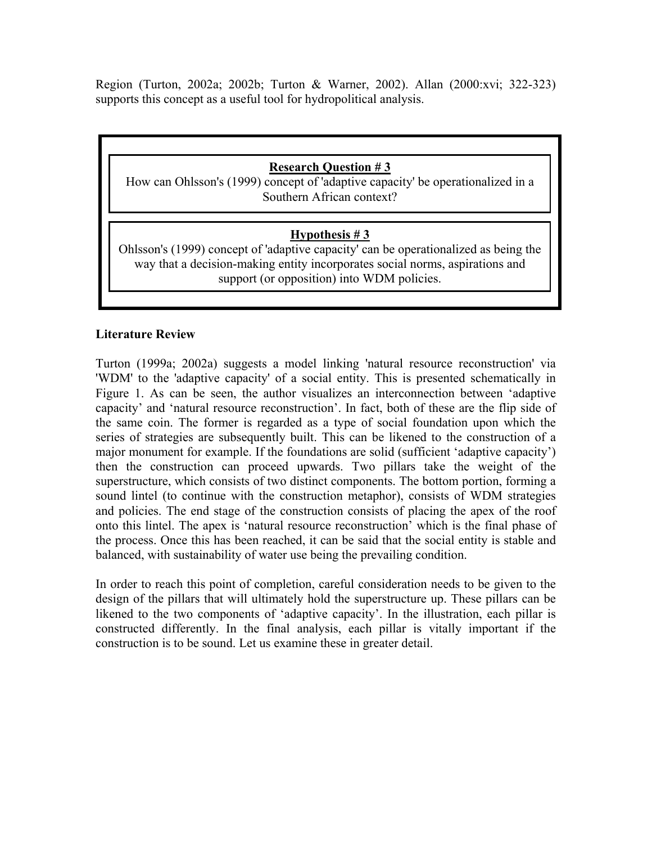Region (Turton, 2002a; 2002b; Turton & Warner, 2002). Allan (2000:xvi; 322-323) supports this concept as a useful tool for hydropolitical analysis.

## **Research Question # 3**

How can Ohlsson's (1999) concept of 'adaptive capacity' be operationalized in a Southern African context?

## **Hypothesis # 3**

Ohlsson's (1999) concept of 'adaptive capacity' can be operationalized as being the way that a decision-making entity incorporates social norms, aspirations and support (or opposition) into WDM policies.

### **Literature Review**

Turton (1999a; 2002a) suggests a model linking 'natural resource reconstruction' via 'WDM' to the 'adaptive capacity' of a social entity. This is presented schematically in Figure 1. As can be seen, the author visualizes an interconnection between 'adaptive capacity' and 'natural resource reconstruction'. In fact, both of these are the flip side of the same coin. The former is regarded as a type of social foundation upon which the series of strategies are subsequently built. This can be likened to the construction of a major monument for example. If the foundations are solid (sufficient 'adaptive capacity') then the construction can proceed upwards. Two pillars take the weight of the superstructure, which consists of two distinct components. The bottom portion, forming a sound lintel (to continue with the construction metaphor), consists of WDM strategies and policies. The end stage of the construction consists of placing the apex of the roof onto this lintel. The apex is 'natural resource reconstruction' which is the final phase of the process. Once this has been reached, it can be said that the social entity is stable and balanced, with sustainability of water use being the prevailing condition.

In order to reach this point of completion, careful consideration needs to be given to the design of the pillars that will ultimately hold the superstructure up. These pillars can be likened to the two components of 'adaptive capacity'. In the illustration, each pillar is constructed differently. In the final analysis, each pillar is vitally important if the construction is to be sound. Let us examine these in greater detail.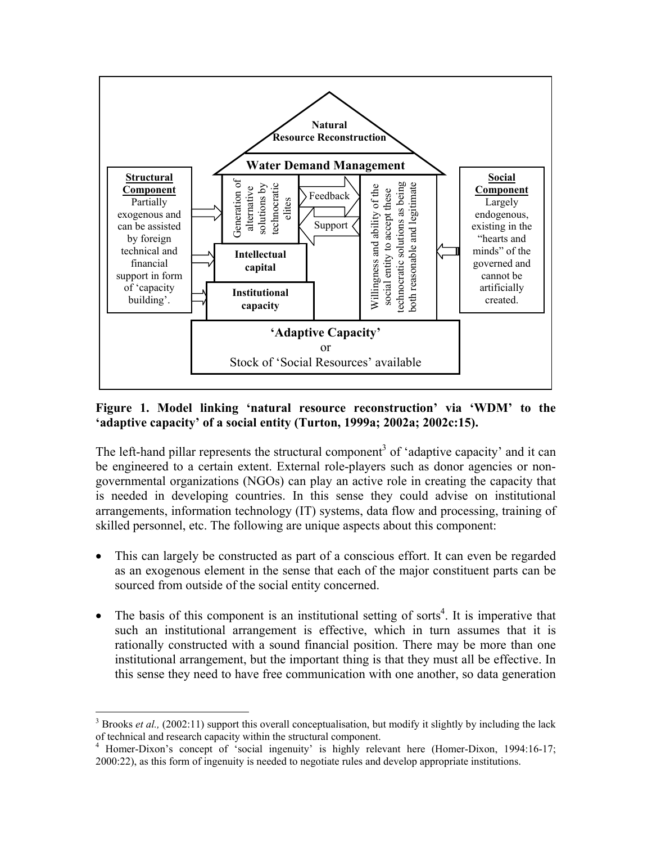

#### **Figure 1. Model linking 'natural resource reconstruction' via 'WDM' to the 'adaptive capacity' of a social entity (Turton, 1999a; 2002a; 2002c:15).**

The left-hand pillar represents the structural component<sup>3</sup> of 'adaptive capacity' and it can be engineered to a certain extent. External role-players such as donor agencies or nongovernmental organizations (NGOs) can play an active role in creating the capacity that is needed in developing countries. In this sense they could advise on institutional arrangements, information technology (IT) systems, data flow and processing, training of skilled personnel, etc. The following are unique aspects about this component:

- This can largely be constructed as part of a conscious effort. It can even be regarded as an exogenous element in the sense that each of the major constituent parts can be sourced from outside of the social entity concerned.
- The basis of this component is an institutional setting of sorts<sup>4</sup>. It is imperative that such an institutional arrangement is effective, which in turn assumes that it is rationally constructed with a sound financial position. There may be more than one institutional arrangement, but the important thing is that they must all be effective. In this sense they need to have free communication with one another, so data generation

 $\overline{a}$ 

<span id="page-4-0"></span><sup>&</sup>lt;sup>3</sup> Brooks *et al.*, (2002:11) support this overall conceptualisation, but modify it slightly by including the lack of technical and research capacity within the structural component. 4

<span id="page-4-1"></span><sup>&</sup>lt;sup>4</sup> Homer-Dixon's concept of 'social ingenuity' is highly relevant here (Homer-Dixon, 1994:16-17; 2000:22), as this form of ingenuity is needed to negotiate rules and develop appropriate institutions.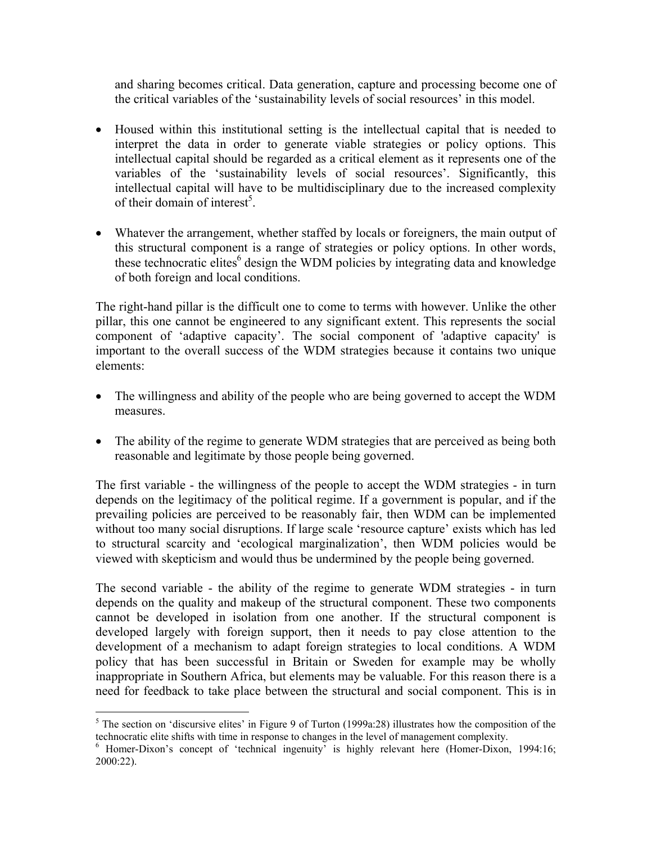and sharing becomes critical. Data generation, capture and processing become one of the critical variables of the 'sustainability levels of social resources' in this model.

- Housed within this institutional setting is the intellectual capital that is needed to interpret the data in order to generate viable strategies or policy options. This intellectual capital should be regarded as a critical element as it represents one of the variables of the 'sustainability levels of social resources'. Significantly, this intellectual capital will have to be multidisciplinary due to the increased complexity of their domain of interest<sup>5</sup>.
- Whatever the arrangement, whether staffed by locals or foreigners, the main output of this structural component is a range of strategies or policy options. In other words, these technocratic elites<sup>[6](#page-5-1)</sup> design the WDM policies by integrating data and knowledge of both foreign and local conditions.

The right-hand pillar is the difficult one to come to terms with however. Unlike the other pillar, this one cannot be engineered to any significant extent. This represents the social component of 'adaptive capacity'. The social component of 'adaptive capacity' is important to the overall success of the WDM strategies because it contains two unique elements:

- The willingness and ability of the people who are being governed to accept the WDM measures.
- The ability of the regime to generate WDM strategies that are perceived as being both reasonable and legitimate by those people being governed.

The first variable - the willingness of the people to accept the WDM strategies - in turn depends on the legitimacy of the political regime. If a government is popular, and if the prevailing policies are perceived to be reasonably fair, then WDM can be implemented without too many social disruptions. If large scale 'resource capture' exists which has led to structural scarcity and 'ecological marginalization', then WDM policies would be viewed with skepticism and would thus be undermined by the people being governed.

The second variable - the ability of the regime to generate WDM strategies - in turn depends on the quality and makeup of the structural component. These two components cannot be developed in isolation from one another. If the structural component is developed largely with foreign support, then it needs to pay close attention to the development of a mechanism to adapt foreign strategies to local conditions. A WDM policy that has been successful in Britain or Sweden for example may be wholly inappropriate in Southern Africa, but elements may be valuable. For this reason there is a need for feedback to take place between the structural and social component. This is in

 $\overline{a}$ 

<span id="page-5-0"></span><sup>&</sup>lt;sup>5</sup> The section on 'discursive elites' in Figure 9 of Turton (1999a:28) illustrates how the composition of the technocratic elite shifts with time in response to changes in the level of management complexity. 6

<span id="page-5-1"></span> $6$  Homer-Dixon's concept of 'technical ingenuity' is highly relevant here (Homer-Dixon, 1994:16; 2000:22).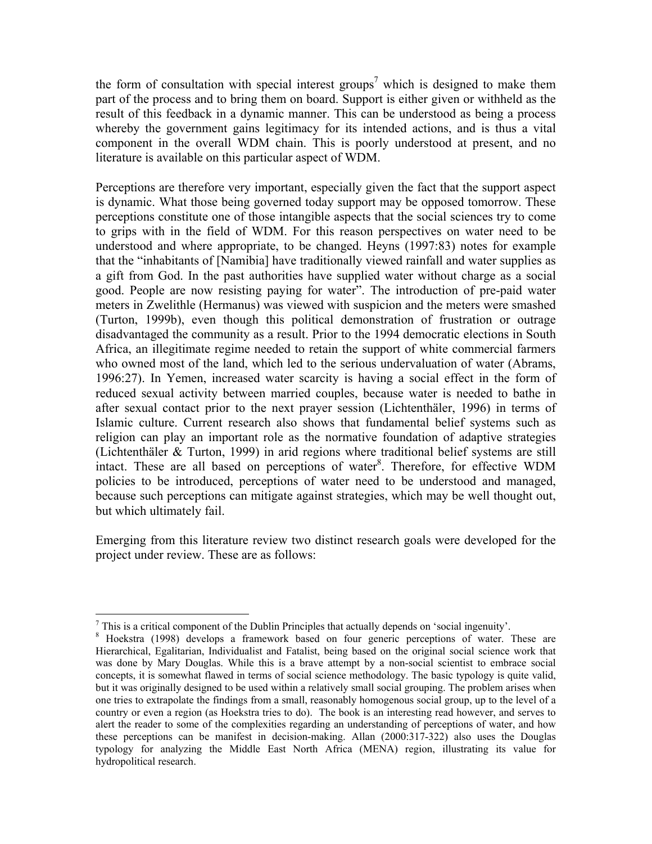the form of consultation with special interest groups<sup>[7](#page-6-0)</sup> which is designed to make them part of the process and to bring them on board. Support is either given or withheld as the result of this feedback in a dynamic manner. This can be understood as being a process whereby the government gains legitimacy for its intended actions, and is thus a vital component in the overall WDM chain. This is poorly understood at present, and no literature is available on this particular aspect of WDM.

Perceptions are therefore very important, especially given the fact that the support aspect is dynamic. What those being governed today support may be opposed tomorrow. These perceptions constitute one of those intangible aspects that the social sciences try to come to grips with in the field of WDM. For this reason perspectives on water need to be understood and where appropriate, to be changed. Heyns (1997:83) notes for example that the "inhabitants of [Namibia] have traditionally viewed rainfall and water supplies as a gift from God. In the past authorities have supplied water without charge as a social good. People are now resisting paying for water". The introduction of pre-paid water meters in Zwelithle (Hermanus) was viewed with suspicion and the meters were smashed (Turton, 1999b), even though this political demonstration of frustration or outrage disadvantaged the community as a result. Prior to the 1994 democratic elections in South Africa, an illegitimate regime needed to retain the support of white commercial farmers who owned most of the land, which led to the serious undervaluation of water (Abrams, 1996:27). In Yemen, increased water scarcity is having a social effect in the form of reduced sexual activity between married couples, because water is needed to bathe in after sexual contact prior to the next prayer session (Lichtenthäler, 1996) in terms of Islamic culture. Current research also shows that fundamental belief systems such as religion can play an important role as the normative foundation of adaptive strategies (Lichtenthäler & Turton, 1999) in arid regions where traditional belief systems are still intact. These are all based on perceptions of water<sup>[8](#page-6-1)</sup>. Therefore, for effective WDM policies to be introduced, perceptions of water need to be understood and managed, because such perceptions can mitigate against strategies, which may be well thought out, but which ultimately fail.

Emerging from this literature review two distinct research goals were developed for the project under review. These are as follows:

 $\overline{a}$ 

<span id="page-6-0"></span>This is a critical component of the Dublin Principles that actually depends on 'social ingenuity'.<br><sup>8</sup> Hockette, (1998), develops a framework boost on four congris perceptions of water.

<span id="page-6-1"></span>Hoekstra (1998) develops a framework based on four generic perceptions of water. These are Hierarchical, Egalitarian, Individualist and Fatalist, being based on the original social science work that was done by Mary Douglas. While this is a brave attempt by a non-social scientist to embrace social concepts, it is somewhat flawed in terms of social science methodology. The basic typology is quite valid, but it was originally designed to be used within a relatively small social grouping. The problem arises when one tries to extrapolate the findings from a small, reasonably homogenous social group, up to the level of a country or even a region (as Hoekstra tries to do). The book is an interesting read however, and serves to alert the reader to some of the complexities regarding an understanding of perceptions of water, and how these perceptions can be manifest in decision-making. Allan (2000:317-322) also uses the Douglas typology for analyzing the Middle East North Africa (MENA) region, illustrating its value for hydropolitical research.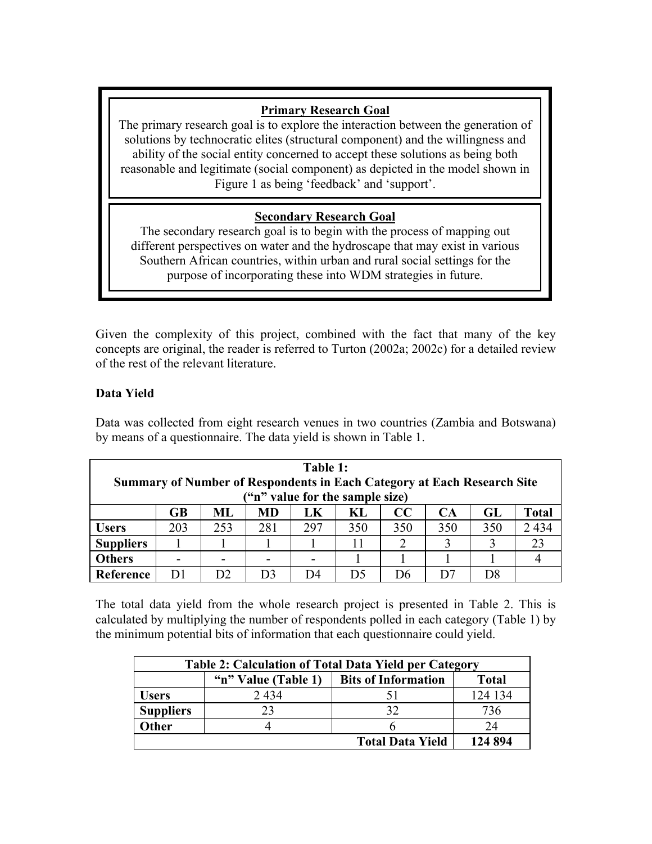## **Primary Research Goal**

The primary research goal is to explore the interaction between the generation of solutions by technocratic elites (structural component) and the willingness and ability of the social entity concerned to accept these solutions as being both reasonable and legitimate (social component) as depicted in the model shown in Figure 1 as being 'feedback' and 'support'.

# **Secondary Research Goal**

purpose of incorporating these into WDM strategies in future. The secondary research goal is to begin with the process of mapping out different perspectives on water and the hydroscape that may exist in various Southern African countries, within urban and rural social settings for the

Given the complexity of this project, combined with the fact that many of the key concepts are original, the reader is referred to Turton (2002a; 2002c) for a detailed review of the rest of the relevant literature.

## **Data Yield**

Data was collected from eight research venues in two countries (Zambia and Botswana) by means of a questionnaire. The data yield is shown in Table 1.

| Table 1:<br><b>Summary of Number of Respondents in Each Category at Each Research Site</b><br>("n" value for the sample size) |                 |     |     |     |     |     |     |     |              |
|-------------------------------------------------------------------------------------------------------------------------------|-----------------|-----|-----|-----|-----|-----|-----|-----|--------------|
|                                                                                                                               | $\overline{GB}$ | ML. | MD  | LK  | KL  | CC  | CA  | GL  | <b>Total</b> |
| <b>Users</b>                                                                                                                  | 203             | 253 | 281 | 297 | 350 | 350 | 350 | 350 | 2434         |
| <b>Suppliers</b>                                                                                                              |                 |     |     |     | 11  |     | 3   |     | 23           |
| <b>Others</b>                                                                                                                 |                 |     |     |     |     |     |     |     |              |
| Reference                                                                                                                     | D1              |     | D3  | 1)4 | 1)5 | 1)6 |     | D8  |              |

The total data yield from the whole research project is presented in Table 2. This is calculated by multiplying the number of respondents polled in each category (Table 1) by the minimum potential bits of information that each questionnaire could yield.

| <b>Table 2: Calculation of Total Data Yield per Category</b> |                     |                            |              |  |  |  |  |
|--------------------------------------------------------------|---------------------|----------------------------|--------------|--|--|--|--|
|                                                              | "n" Value (Table 1) | <b>Bits of Information</b> | <b>Total</b> |  |  |  |  |
| <b>Users</b>                                                 | 2434                |                            | 124 134      |  |  |  |  |
| <b>Suppliers</b>                                             |                     | 32                         | 736          |  |  |  |  |
| Other                                                        |                     |                            | 24           |  |  |  |  |
|                                                              |                     | <b>Total Data Yield</b>    | 124 894      |  |  |  |  |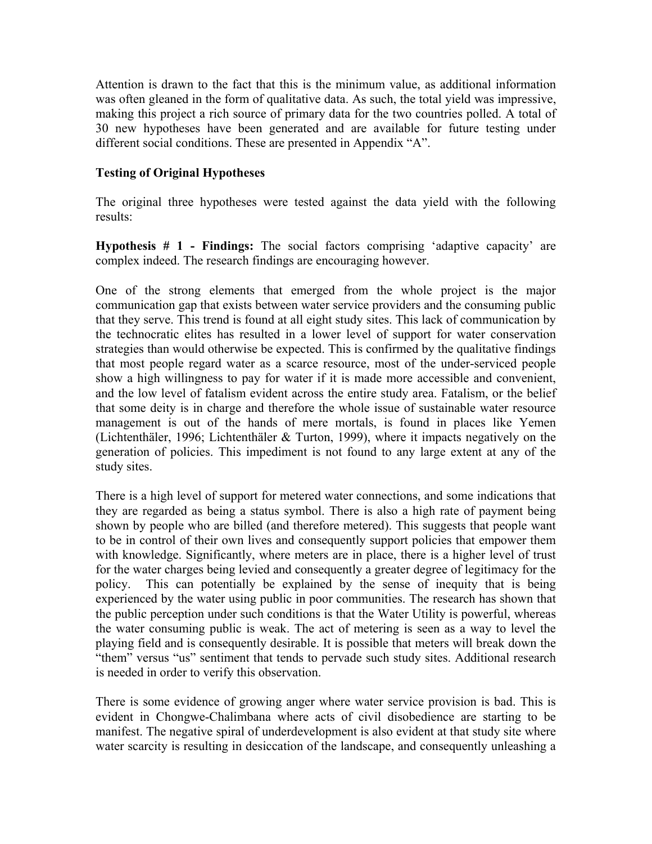Attention is drawn to the fact that this is the minimum value, as additional information was often gleaned in the form of qualitative data. As such, the total yield was impressive, making this project a rich source of primary data for the two countries polled. A total of 30 new hypotheses have been generated and are available for future testing under different social conditions. These are presented in Appendix "A".

### **Testing of Original Hypotheses**

The original three hypotheses were tested against the data yield with the following results:

**Hypothesis # 1 - Findings:** The social factors comprising 'adaptive capacity' are complex indeed. The research findings are encouraging however.

One of the strong elements that emerged from the whole project is the major communication gap that exists between water service providers and the consuming public that they serve. This trend is found at all eight study sites. This lack of communication by the technocratic elites has resulted in a lower level of support for water conservation strategies than would otherwise be expected. This is confirmed by the qualitative findings that most people regard water as a scarce resource, most of the under-serviced people show a high willingness to pay for water if it is made more accessible and convenient, and the low level of fatalism evident across the entire study area. Fatalism, or the belief that some deity is in charge and therefore the whole issue of sustainable water resource management is out of the hands of mere mortals, is found in places like Yemen (Lichtenthäler, 1996; Lichtenthäler & Turton, 1999), where it impacts negatively on the generation of policies. This impediment is not found to any large extent at any of the study sites.

There is a high level of support for metered water connections, and some indications that they are regarded as being a status symbol. There is also a high rate of payment being shown by people who are billed (and therefore metered). This suggests that people want to be in control of their own lives and consequently support policies that empower them with knowledge. Significantly, where meters are in place, there is a higher level of trust for the water charges being levied and consequently a greater degree of legitimacy for the policy. This can potentially be explained by the sense of inequity that is being experienced by the water using public in poor communities. The research has shown that the public perception under such conditions is that the Water Utility is powerful, whereas the water consuming public is weak. The act of metering is seen as a way to level the playing field and is consequently desirable. It is possible that meters will break down the "them" versus "us" sentiment that tends to pervade such study sites. Additional research is needed in order to verify this observation.

There is some evidence of growing anger where water service provision is bad. This is evident in Chongwe-Chalimbana where acts of civil disobedience are starting to be manifest. The negative spiral of underdevelopment is also evident at that study site where water scarcity is resulting in desiccation of the landscape, and consequently unleashing a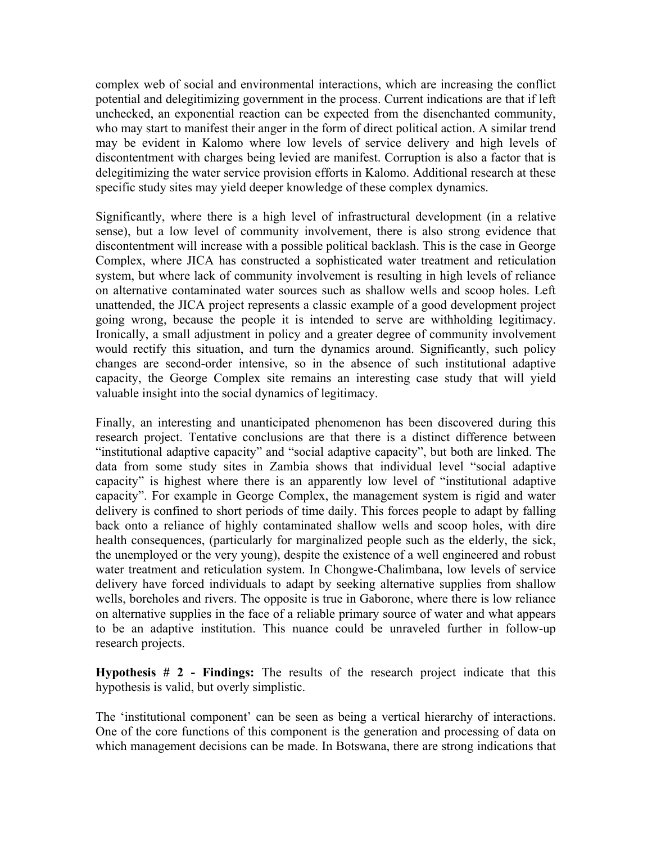complex web of social and environmental interactions, which are increasing the conflict potential and delegitimizing government in the process. Current indications are that if left unchecked, an exponential reaction can be expected from the disenchanted community, who may start to manifest their anger in the form of direct political action. A similar trend may be evident in Kalomo where low levels of service delivery and high levels of discontentment with charges being levied are manifest. Corruption is also a factor that is delegitimizing the water service provision efforts in Kalomo. Additional research at these specific study sites may yield deeper knowledge of these complex dynamics.

Significantly, where there is a high level of infrastructural development (in a relative sense), but a low level of community involvement, there is also strong evidence that discontentment will increase with a possible political backlash. This is the case in George Complex, where JICA has constructed a sophisticated water treatment and reticulation system, but where lack of community involvement is resulting in high levels of reliance on alternative contaminated water sources such as shallow wells and scoop holes. Left unattended, the JICA project represents a classic example of a good development project going wrong, because the people it is intended to serve are withholding legitimacy. Ironically, a small adjustment in policy and a greater degree of community involvement would rectify this situation, and turn the dynamics around. Significantly, such policy changes are second-order intensive, so in the absence of such institutional adaptive capacity, the George Complex site remains an interesting case study that will yield valuable insight into the social dynamics of legitimacy.

Finally, an interesting and unanticipated phenomenon has been discovered during this research project. Tentative conclusions are that there is a distinct difference between "institutional adaptive capacity" and "social adaptive capacity", but both are linked. The data from some study sites in Zambia shows that individual level "social adaptive capacity" is highest where there is an apparently low level of "institutional adaptive capacity". For example in George Complex, the management system is rigid and water delivery is confined to short periods of time daily. This forces people to adapt by falling back onto a reliance of highly contaminated shallow wells and scoop holes, with dire health consequences, (particularly for marginalized people such as the elderly, the sick, the unemployed or the very young), despite the existence of a well engineered and robust water treatment and reticulation system. In Chongwe-Chalimbana, low levels of service delivery have forced individuals to adapt by seeking alternative supplies from shallow wells, boreholes and rivers. The opposite is true in Gaborone, where there is low reliance on alternative supplies in the face of a reliable primary source of water and what appears to be an adaptive institution. This nuance could be unraveled further in follow-up research projects.

**Hypothesis # 2 - Findings:** The results of the research project indicate that this hypothesis is valid, but overly simplistic.

The 'institutional component' can be seen as being a vertical hierarchy of interactions. One of the core functions of this component is the generation and processing of data on which management decisions can be made. In Botswana, there are strong indications that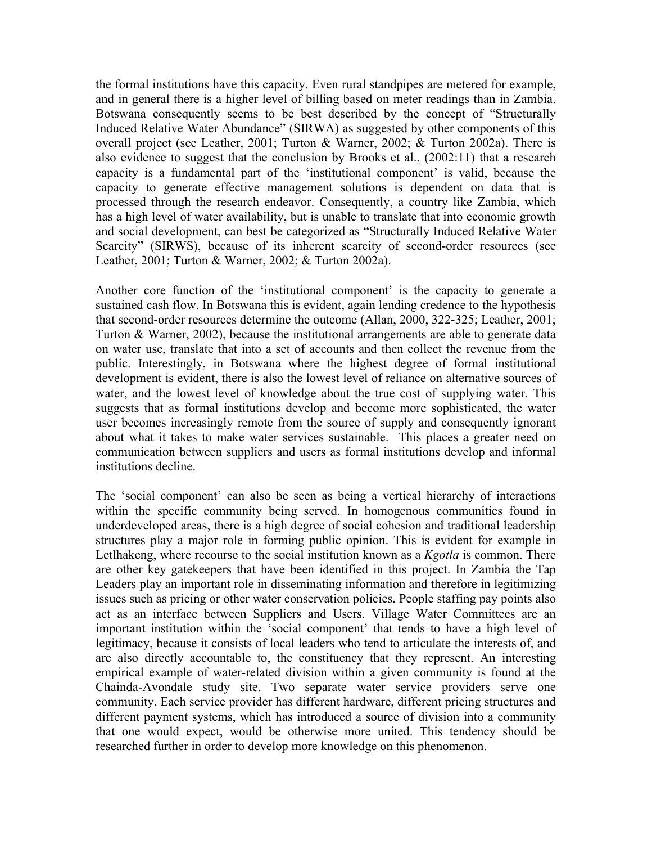the formal institutions have this capacity. Even rural standpipes are metered for example, and in general there is a higher level of billing based on meter readings than in Zambia. Botswana consequently seems to be best described by the concept of "Structurally Induced Relative Water Abundance" (SIRWA) as suggested by other components of this overall project (see Leather, 2001; Turton & Warner, 2002; & Turton 2002a). There is also evidence to suggest that the conclusion by Brooks et al., (2002:11) that a research capacity is a fundamental part of the 'institutional component' is valid, because the capacity to generate effective management solutions is dependent on data that is processed through the research endeavor. Consequently, a country like Zambia, which has a high level of water availability, but is unable to translate that into economic growth and social development, can best be categorized as "Structurally Induced Relative Water Scarcity" (SIRWS), because of its inherent scarcity of second-order resources (see Leather, 2001; Turton & Warner, 2002; & Turton 2002a).

Another core function of the 'institutional component' is the capacity to generate a sustained cash flow. In Botswana this is evident, again lending credence to the hypothesis that second-order resources determine the outcome (Allan, 2000, 322-325; Leather, 2001; Turton & Warner, 2002), because the institutional arrangements are able to generate data on water use, translate that into a set of accounts and then collect the revenue from the public. Interestingly, in Botswana where the highest degree of formal institutional development is evident, there is also the lowest level of reliance on alternative sources of water, and the lowest level of knowledge about the true cost of supplying water. This suggests that as formal institutions develop and become more sophisticated, the water user becomes increasingly remote from the source of supply and consequently ignorant about what it takes to make water services sustainable. This places a greater need on communication between suppliers and users as formal institutions develop and informal institutions decline.

The 'social component' can also be seen as being a vertical hierarchy of interactions within the specific community being served. In homogenous communities found in underdeveloped areas, there is a high degree of social cohesion and traditional leadership structures play a major role in forming public opinion. This is evident for example in Letlhakeng, where recourse to the social institution known as a *Kgotla* is common. There are other key gatekeepers that have been identified in this project. In Zambia the Tap Leaders play an important role in disseminating information and therefore in legitimizing issues such as pricing or other water conservation policies. People staffing pay points also act as an interface between Suppliers and Users. Village Water Committees are an important institution within the 'social component' that tends to have a high level of legitimacy, because it consists of local leaders who tend to articulate the interests of, and are also directly accountable to, the constituency that they represent. An interesting empirical example of water-related division within a given community is found at the Chainda-Avondale study site. Two separate water service providers serve one community. Each service provider has different hardware, different pricing structures and different payment systems, which has introduced a source of division into a community that one would expect, would be otherwise more united. This tendency should be researched further in order to develop more knowledge on this phenomenon.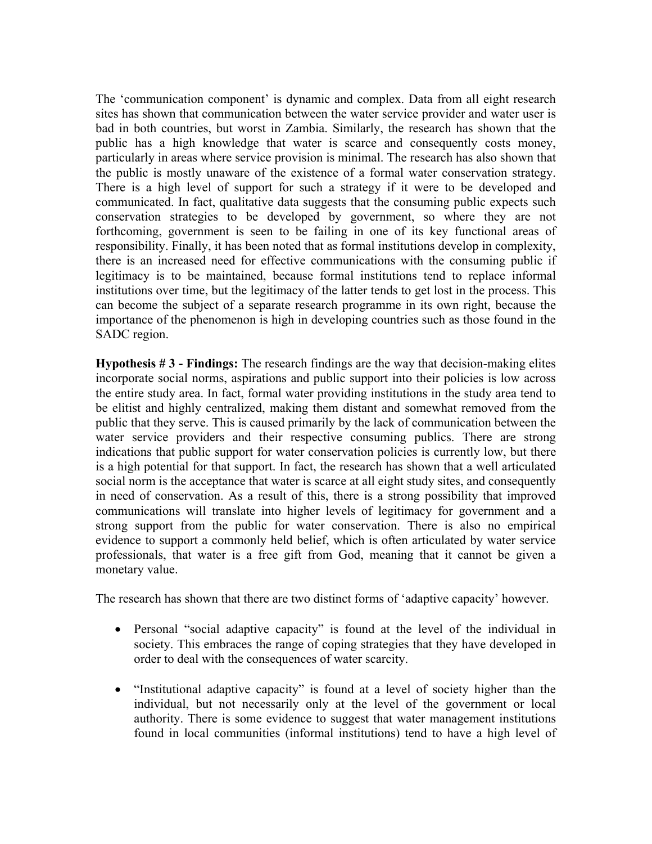The 'communication component' is dynamic and complex. Data from all eight research sites has shown that communication between the water service provider and water user is bad in both countries, but worst in Zambia. Similarly, the research has shown that the public has a high knowledge that water is scarce and consequently costs money, particularly in areas where service provision is minimal. The research has also shown that the public is mostly unaware of the existence of a formal water conservation strategy. There is a high level of support for such a strategy if it were to be developed and communicated. In fact, qualitative data suggests that the consuming public expects such conservation strategies to be developed by government, so where they are not forthcoming, government is seen to be failing in one of its key functional areas of responsibility. Finally, it has been noted that as formal institutions develop in complexity, there is an increased need for effective communications with the consuming public if legitimacy is to be maintained, because formal institutions tend to replace informal institutions over time, but the legitimacy of the latter tends to get lost in the process. This can become the subject of a separate research programme in its own right, because the importance of the phenomenon is high in developing countries such as those found in the SADC region.

**Hypothesis # 3 - Findings:** The research findings are the way that decision-making elites incorporate social norms, aspirations and public support into their policies is low across the entire study area. In fact, formal water providing institutions in the study area tend to be elitist and highly centralized, making them distant and somewhat removed from the public that they serve. This is caused primarily by the lack of communication between the water service providers and their respective consuming publics. There are strong indications that public support for water conservation policies is currently low, but there is a high potential for that support. In fact, the research has shown that a well articulated social norm is the acceptance that water is scarce at all eight study sites, and consequently in need of conservation. As a result of this, there is a strong possibility that improved communications will translate into higher levels of legitimacy for government and a strong support from the public for water conservation. There is also no empirical evidence to support a commonly held belief, which is often articulated by water service professionals, that water is a free gift from God, meaning that it cannot be given a monetary value.

The research has shown that there are two distinct forms of 'adaptive capacity' however.

- Personal "social adaptive capacity" is found at the level of the individual in society. This embraces the range of coping strategies that they have developed in order to deal with the consequences of water scarcity.
- "Institutional adaptive capacity" is found at a level of society higher than the individual, but not necessarily only at the level of the government or local authority. There is some evidence to suggest that water management institutions found in local communities (informal institutions) tend to have a high level of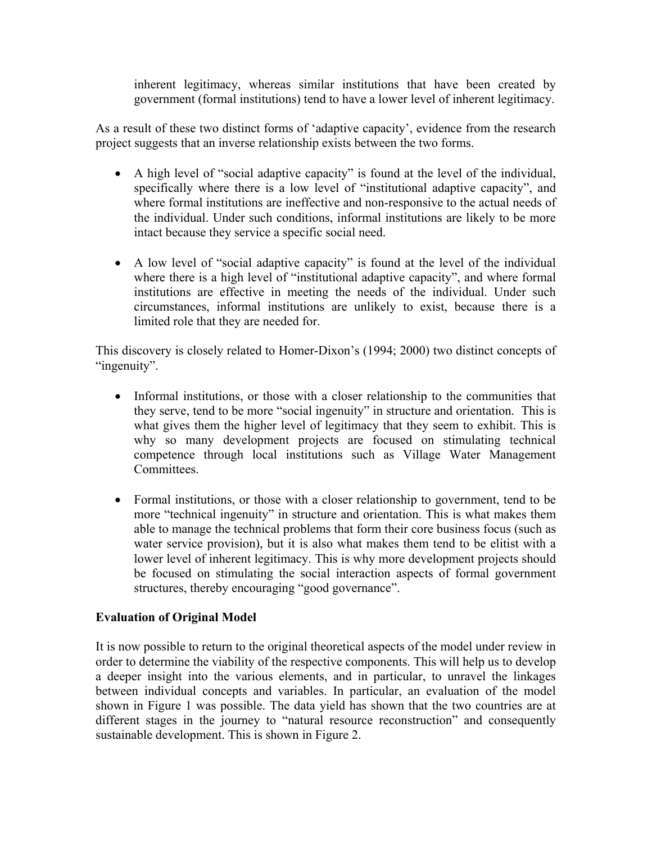inherent legitimacy, whereas similar institutions that have been created by government (formal institutions) tend to have a lower level of inherent legitimacy.

As a result of these two distinct forms of 'adaptive capacity', evidence from the research project suggests that an inverse relationship exists between the two forms.

- A high level of "social adaptive capacity" is found at the level of the individual, specifically where there is a low level of "institutional adaptive capacity", and where formal institutions are ineffective and non-responsive to the actual needs of the individual. Under such conditions, informal institutions are likely to be more intact because they service a specific social need.
- A low level of "social adaptive capacity" is found at the level of the individual where there is a high level of "institutional adaptive capacity", and where formal institutions are effective in meeting the needs of the individual. Under such circumstances, informal institutions are unlikely to exist, because there is a limited role that they are needed for.

This discovery is closely related to Homer-Dixon's (1994; 2000) two distinct concepts of "ingenuity".

- Informal institutions, or those with a closer relationship to the communities that they serve, tend to be more "social ingenuity" in structure and orientation. This is what gives them the higher level of legitimacy that they seem to exhibit. This is why so many development projects are focused on stimulating technical competence through local institutions such as Village Water Management Committees.
- Formal institutions, or those with a closer relationship to government, tend to be more "technical ingenuity" in structure and orientation. This is what makes them able to manage the technical problems that form their core business focus (such as water service provision), but it is also what makes them tend to be elitist with a lower level of inherent legitimacy. This is why more development projects should be focused on stimulating the social interaction aspects of formal government structures, thereby encouraging "good governance".

### **Evaluation of Original Model**

It is now possible to return to the original theoretical aspects of the model under review in order to determine the viability of the respective components. This will help us to develop a deeper insight into the various elements, and in particular, to unravel the linkages between individual concepts and variables. In particular, an evaluation of the model shown in Figure 1 was possible. The data yield has shown that the two countries are at different stages in the journey to "natural resource reconstruction" and consequently sustainable development. This is shown in Figure 2.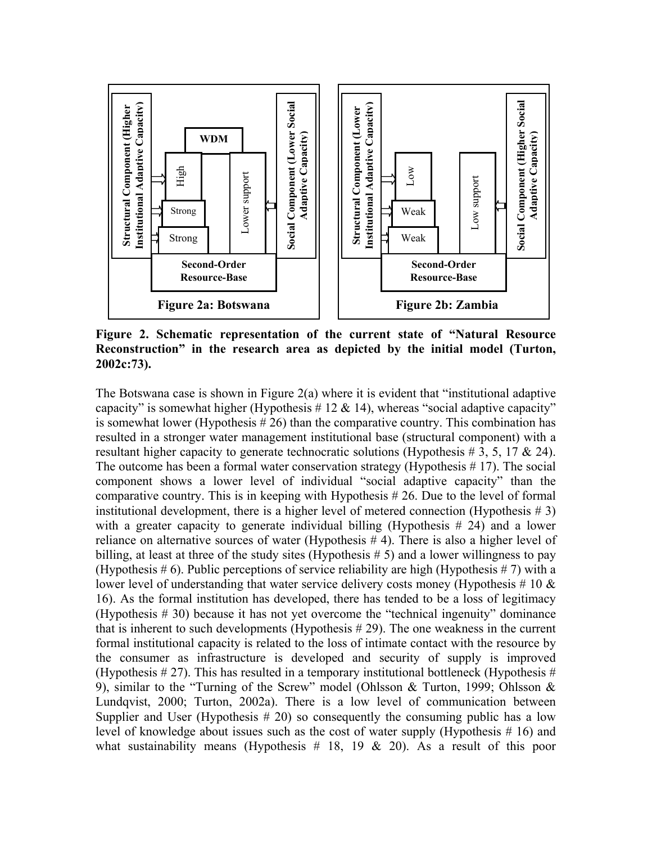

**Figure 2. Schematic representation of the current state of "Natural Resource Reconstruction" in the research area as depicted by the initial model (Turton, 2002c:73).** 

The Botswana case is shown in Figure 2(a) where it is evident that "institutional adaptive capacity" is somewhat higher (Hypothesis # 12  $\&$  14), whereas "social adaptive capacity" is somewhat lower (Hypothesis  $# 26$ ) than the comparative country. This combination has resulted in a stronger water management institutional base (structural component) with a resultant higher capacity to generate technocratic solutions (Hypothesis  $\#$  3, 5, 17 & 24). The outcome has been a formal water conservation strategy (Hypothesis # 17). The social component shows a lower level of individual "social adaptive capacity" than the comparative country. This is in keeping with Hypothesis # 26. Due to the level of formal institutional development, there is a higher level of metered connection (Hypothesis  $\# 3$ ) with a greater capacity to generate individual billing (Hypothesis # 24) and a lower reliance on alternative sources of water (Hypothesis # 4). There is also a higher level of billing, at least at three of the study sites (Hypothesis # 5) and a lower willingness to pay (Hypothesis # 6). Public perceptions of service reliability are high (Hypothesis # 7) with a lower level of understanding that water service delivery costs money (Hypothesis # 10  $\&$ 16). As the formal institution has developed, there has tended to be a loss of legitimacy (Hypothesis # 30) because it has not yet overcome the "technical ingenuity" dominance that is inherent to such developments (Hypothesis  $# 29$ ). The one weakness in the current formal institutional capacity is related to the loss of intimate contact with the resource by the consumer as infrastructure is developed and security of supply is improved (Hypothesis  $\# 27$ ). This has resulted in a temporary institutional bottleneck (Hypothesis  $\#$ 9), similar to the "Turning of the Screw" model (Ohlsson & Turton, 1999; Ohlsson & Lundqvist, 2000; Turton, 2002a). There is a low level of communication between Supplier and User (Hypothesis  $# 20$ ) so consequently the consuming public has a low level of knowledge about issues such as the cost of water supply (Hypothesis # 16) and what sustainability means (Hypothesis  $\#$  18, 19 & 20). As a result of this poor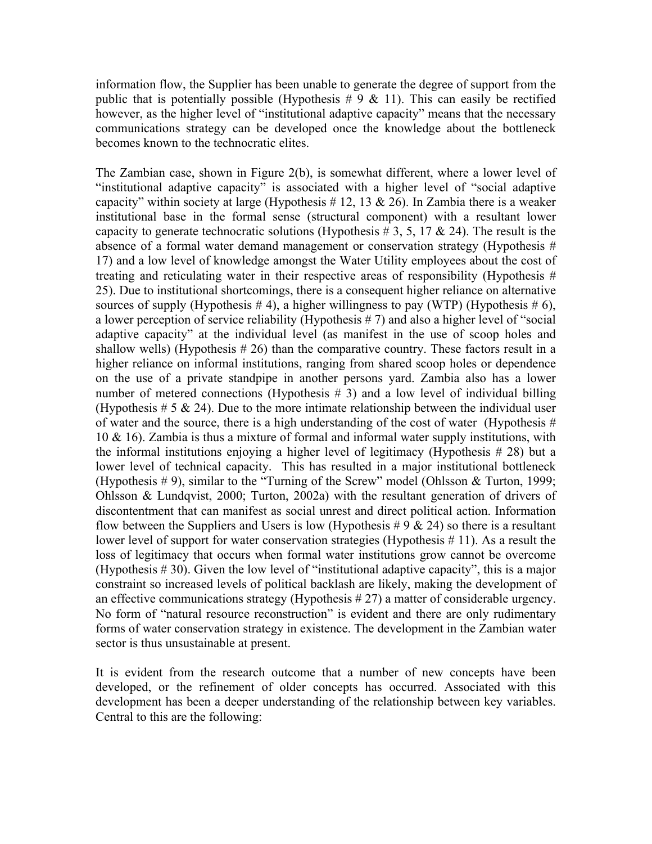information flow, the Supplier has been unable to generate the degree of support from the public that is potentially possible (Hypothesis  $\# 9 \& 11$ ). This can easily be rectified however, as the higher level of "institutional adaptive capacity" means that the necessary communications strategy can be developed once the knowledge about the bottleneck becomes known to the technocratic elites.

The Zambian case, shown in Figure 2(b), is somewhat different, where a lower level of "institutional adaptive capacity" is associated with a higher level of "social adaptive capacity" within society at large (Hypothesis # 12, 13  $\&$  26). In Zambia there is a weaker institutional base in the formal sense (structural component) with a resultant lower capacity to generate technocratic solutions (Hypothesis # 3, 5, 17  $\&$  24). The result is the absence of a formal water demand management or conservation strategy (Hypothesis # 17) and a low level of knowledge amongst the Water Utility employees about the cost of treating and reticulating water in their respective areas of responsibility (Hypothesis # 25). Due to institutional shortcomings, there is a consequent higher reliance on alternative sources of supply (Hypothesis  $# 4$ ), a higher willingness to pay (WTP) (Hypothesis  $# 6$ ), a lower perception of service reliability (Hypothesis # 7) and also a higher level of "social adaptive capacity" at the individual level (as manifest in the use of scoop holes and shallow wells) (Hypothesis  $# 26$ ) than the comparative country. These factors result in a higher reliance on informal institutions, ranging from shared scoop holes or dependence on the use of a private standpipe in another persons yard. Zambia also has a lower number of metered connections (Hypothesis # 3) and a low level of individual billing (Hypothesis  $\# 5 \& 24$ ). Due to the more intimate relationship between the individual user of water and the source, there is a high understanding of the cost of water (Hypothesis  $#$ 10 & 16). Zambia is thus a mixture of formal and informal water supply institutions, with the informal institutions enjoying a higher level of legitimacy (Hypothesis # 28) but a lower level of technical capacity. This has resulted in a major institutional bottleneck (Hypothesis  $# 9$ ), similar to the "Turning of the Screw" model (Ohlsson & Turton, 1999; Ohlsson & Lundqvist, 2000; Turton, 2002a) with the resultant generation of drivers of discontentment that can manifest as social unrest and direct political action. Information flow between the Suppliers and Users is low (Hypothesis #  $9 \& 24$ ) so there is a resultant lower level of support for water conservation strategies (Hypothesis # 11). As a result the loss of legitimacy that occurs when formal water institutions grow cannot be overcome (Hypothesis # 30). Given the low level of "institutional adaptive capacity", this is a major constraint so increased levels of political backlash are likely, making the development of an effective communications strategy (Hypothesis # 27) a matter of considerable urgency. No form of "natural resource reconstruction" is evident and there are only rudimentary forms of water conservation strategy in existence. The development in the Zambian water sector is thus unsustainable at present.

It is evident from the research outcome that a number of new concepts have been developed, or the refinement of older concepts has occurred. Associated with this development has been a deeper understanding of the relationship between key variables. Central to this are the following: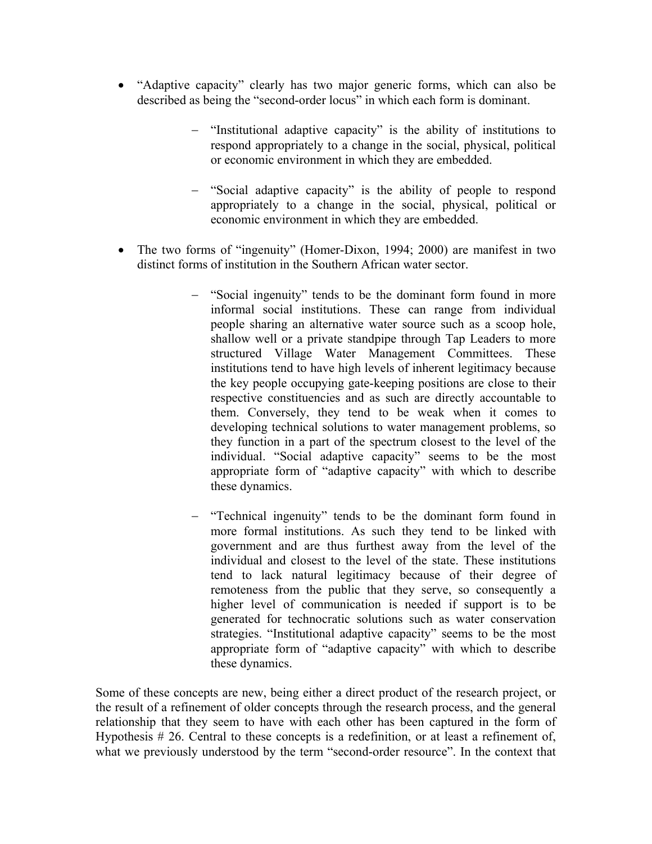- "Adaptive capacity" clearly has two major generic forms, which can also be described as being the "second-order locus" in which each form is dominant.
	- − "Institutional adaptive capacity" is the ability of institutions to respond appropriately to a change in the social, physical, political or economic environment in which they are embedded.
	- − "Social adaptive capacity" is the ability of people to respond appropriately to a change in the social, physical, political or economic environment in which they are embedded.
- The two forms of "ingenuity" (Homer-Dixon, 1994; 2000) are manifest in two distinct forms of institution in the Southern African water sector.
	- − "Social ingenuity" tends to be the dominant form found in more informal social institutions. These can range from individual people sharing an alternative water source such as a scoop hole, shallow well or a private standpipe through Tap Leaders to more structured Village Water Management Committees. These institutions tend to have high levels of inherent legitimacy because the key people occupying gate-keeping positions are close to their respective constituencies and as such are directly accountable to them. Conversely, they tend to be weak when it comes to developing technical solutions to water management problems, so they function in a part of the spectrum closest to the level of the individual. "Social adaptive capacity" seems to be the most appropriate form of "adaptive capacity" with which to describe these dynamics.
	- − "Technical ingenuity" tends to be the dominant form found in more formal institutions. As such they tend to be linked with government and are thus furthest away from the level of the individual and closest to the level of the state. These institutions tend to lack natural legitimacy because of their degree of remoteness from the public that they serve, so consequently a higher level of communication is needed if support is to be generated for technocratic solutions such as water conservation strategies. "Institutional adaptive capacity" seems to be the most appropriate form of "adaptive capacity" with which to describe these dynamics.

Some of these concepts are new, being either a direct product of the research project, or the result of a refinement of older concepts through the research process, and the general relationship that they seem to have with each other has been captured in the form of Hypothesis # 26. Central to these concepts is a redefinition, or at least a refinement of, what we previously understood by the term "second-order resource". In the context that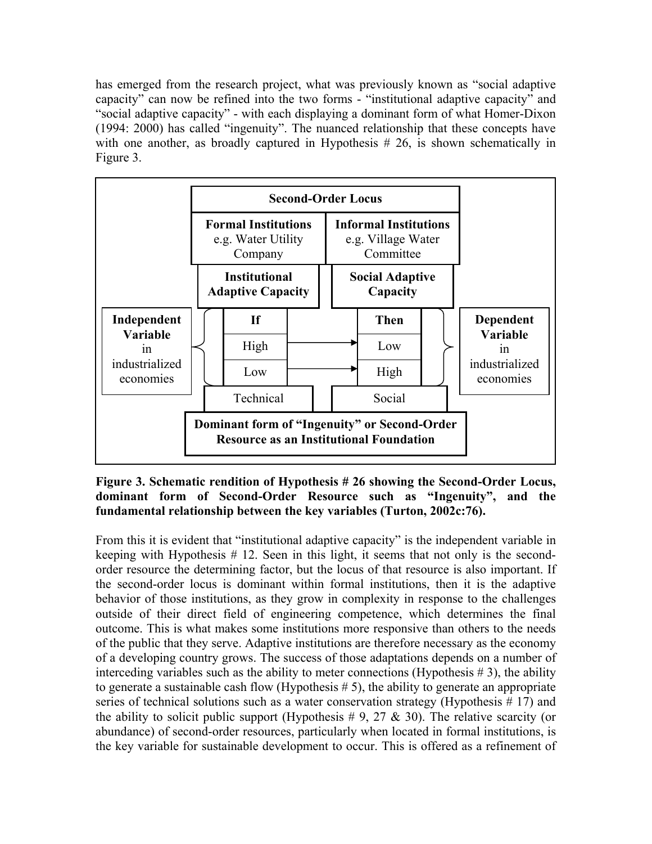has emerged from the research project, what was previously known as "social adaptive capacity" can now be refined into the two forms - "institutional adaptive capacity" and "social adaptive capacity" - with each displaying a dominant form of what Homer-Dixon (1994: 2000) has called "ingenuity". The nuanced relationship that these concepts have with one another, as broadly captured in Hypothesis  $# 26$ , is shown schematically in Figure 3.



#### **Figure 3. Schematic rendition of Hypothesis # 26 showing the Second-Order Locus, dominant form of Second-Order Resource such as "Ingenuity", and the fundamental relationship between the key variables (Turton, 2002c:76).**

From this it is evident that "institutional adaptive capacity" is the independent variable in keeping with Hypothesis # 12. Seen in this light, it seems that not only is the secondorder resource the determining factor, but the locus of that resource is also important. If the second-order locus is dominant within formal institutions, then it is the adaptive behavior of those institutions, as they grow in complexity in response to the challenges outside of their direct field of engineering competence, which determines the final outcome. This is what makes some institutions more responsive than others to the needs of the public that they serve. Adaptive institutions are therefore necessary as the economy of a developing country grows. The success of those adaptations depends on a number of interceding variables such as the ability to meter connections (Hypothesis  $\# 3$ ), the ability to generate a sustainable cash flow (Hypothesis # 5), the ability to generate an appropriate series of technical solutions such as a water conservation strategy (Hypothesis # 17) and the ability to solicit public support (Hypothesis  $\#$  9, 27  $\&$  30). The relative scarcity (or abundance) of second-order resources, particularly when located in formal institutions, is the key variable for sustainable development to occur. This is offered as a refinement of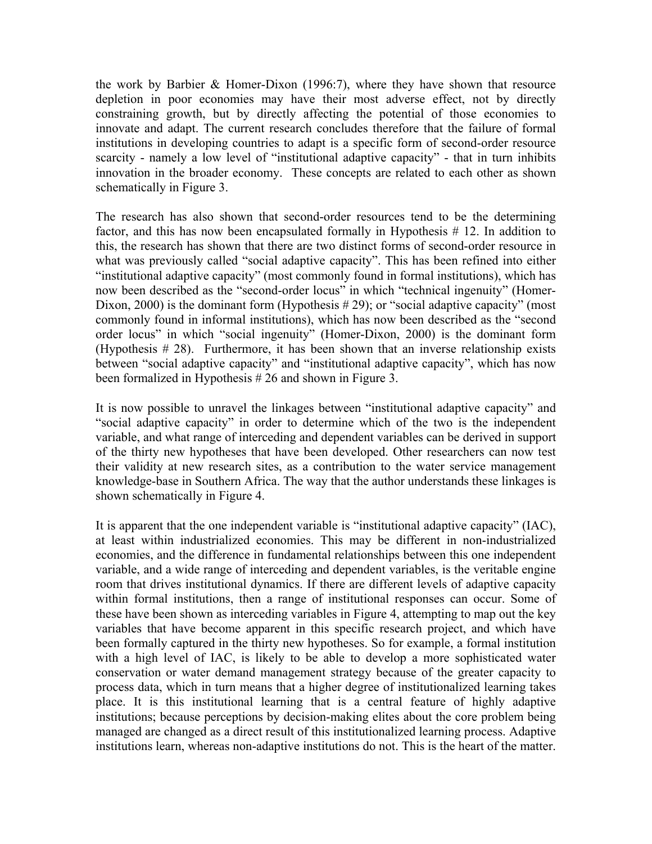the work by Barbier & Homer-Dixon (1996:7), where they have shown that resource depletion in poor economies may have their most adverse effect, not by directly constraining growth, but by directly affecting the potential of those economies to innovate and adapt. The current research concludes therefore that the failure of formal institutions in developing countries to adapt is a specific form of second-order resource scarcity - namely a low level of "institutional adaptive capacity" - that in turn inhibits innovation in the broader economy. These concepts are related to each other as shown schematically in Figure 3.

The research has also shown that second-order resources tend to be the determining factor, and this has now been encapsulated formally in Hypothesis # 12. In addition to this, the research has shown that there are two distinct forms of second-order resource in what was previously called "social adaptive capacity". This has been refined into either "institutional adaptive capacity" (most commonly found in formal institutions), which has now been described as the "second-order locus" in which "technical ingenuity" (Homer-Dixon, 2000) is the dominant form (Hypothesis # 29); or "social adaptive capacity" (most commonly found in informal institutions), which has now been described as the "second order locus" in which "social ingenuity" (Homer-Dixon, 2000) is the dominant form (Hypothesis  $# 28$ ). Furthermore, it has been shown that an inverse relationship exists between "social adaptive capacity" and "institutional adaptive capacity", which has now been formalized in Hypothesis # 26 and shown in Figure 3.

It is now possible to unravel the linkages between "institutional adaptive capacity" and "social adaptive capacity" in order to determine which of the two is the independent variable, and what range of interceding and dependent variables can be derived in support of the thirty new hypotheses that have been developed. Other researchers can now test their validity at new research sites, as a contribution to the water service management knowledge-base in Southern Africa. The way that the author understands these linkages is shown schematically in Figure 4.

It is apparent that the one independent variable is "institutional adaptive capacity" (IAC), at least within industrialized economies. This may be different in non-industrialized economies, and the difference in fundamental relationships between this one independent variable, and a wide range of interceding and dependent variables, is the veritable engine room that drives institutional dynamics. If there are different levels of adaptive capacity within formal institutions, then a range of institutional responses can occur. Some of these have been shown as interceding variables in Figure 4, attempting to map out the key variables that have become apparent in this specific research project, and which have been formally captured in the thirty new hypotheses. So for example, a formal institution with a high level of IAC, is likely to be able to develop a more sophisticated water conservation or water demand management strategy because of the greater capacity to process data, which in turn means that a higher degree of institutionalized learning takes place. It is this institutional learning that is a central feature of highly adaptive institutions; because perceptions by decision-making elites about the core problem being managed are changed as a direct result of this institutionalized learning process. Adaptive institutions learn, whereas non-adaptive institutions do not. This is the heart of the matter.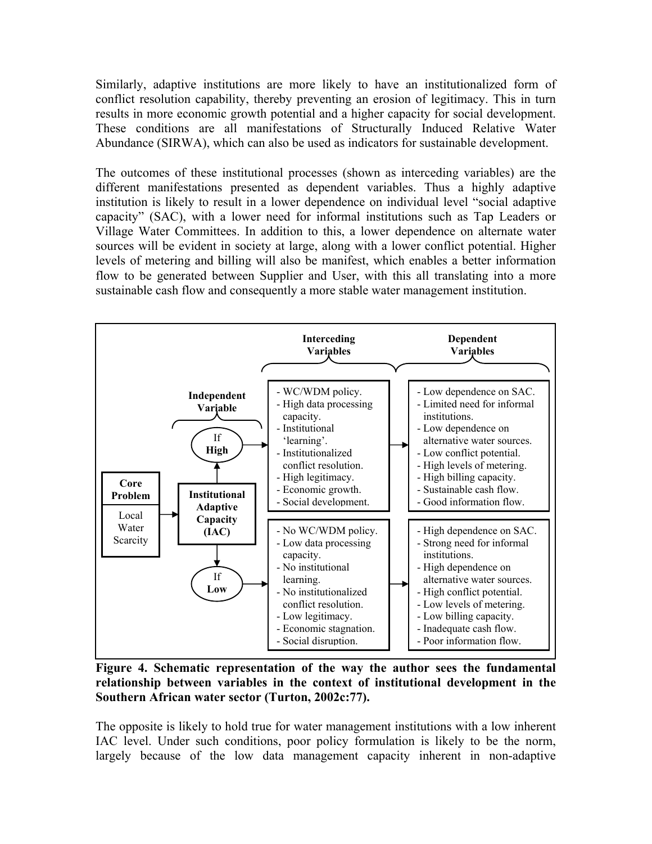Similarly, adaptive institutions are more likely to have an institutionalized form of conflict resolution capability, thereby preventing an erosion of legitimacy. This in turn results in more economic growth potential and a higher capacity for social development. These conditions are all manifestations of Structurally Induced Relative Water Abundance (SIRWA), which can also be used as indicators for sustainable development.

The outcomes of these institutional processes (shown as interceding variables) are the different manifestations presented as dependent variables. Thus a highly adaptive institution is likely to result in a lower dependence on individual level "social adaptive capacity" (SAC), with a lower need for informal institutions such as Tap Leaders or Village Water Committees. In addition to this, a lower dependence on alternate water sources will be evident in society at large, along with a lower conflict potential. Higher levels of metering and billing will also be manifest, which enables a better information flow to be generated between Supplier and User, with this all translating into a more sustainable cash flow and consequently a more stable water management institution.



**Figure 4. Schematic representation of the way the author sees the fundamental relationship between variables in the context of institutional development in the Southern African water sector (Turton, 2002c:77).** 

The opposite is likely to hold true for water management institutions with a low inherent IAC level. Under such conditions, poor policy formulation is likely to be the norm, largely because of the low data management capacity inherent in non-adaptive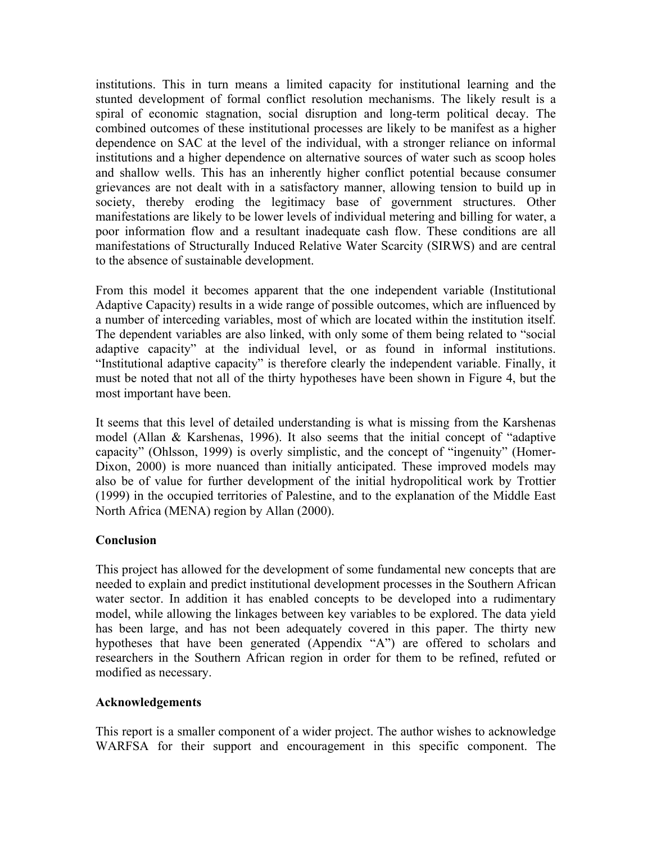institutions. This in turn means a limited capacity for institutional learning and the stunted development of formal conflict resolution mechanisms. The likely result is a spiral of economic stagnation, social disruption and long-term political decay. The combined outcomes of these institutional processes are likely to be manifest as a higher dependence on SAC at the level of the individual, with a stronger reliance on informal institutions and a higher dependence on alternative sources of water such as scoop holes and shallow wells. This has an inherently higher conflict potential because consumer grievances are not dealt with in a satisfactory manner, allowing tension to build up in society, thereby eroding the legitimacy base of government structures. Other manifestations are likely to be lower levels of individual metering and billing for water, a poor information flow and a resultant inadequate cash flow. These conditions are all manifestations of Structurally Induced Relative Water Scarcity (SIRWS) and are central to the absence of sustainable development.

From this model it becomes apparent that the one independent variable (Institutional Adaptive Capacity) results in a wide range of possible outcomes, which are influenced by a number of interceding variables, most of which are located within the institution itself. The dependent variables are also linked, with only some of them being related to "social adaptive capacity" at the individual level, or as found in informal institutions. "Institutional adaptive capacity" is therefore clearly the independent variable. Finally, it must be noted that not all of the thirty hypotheses have been shown in Figure 4, but the most important have been.

It seems that this level of detailed understanding is what is missing from the Karshenas model (Allan & Karshenas, 1996). It also seems that the initial concept of "adaptive capacity" (Ohlsson, 1999) is overly simplistic, and the concept of "ingenuity" (Homer-Dixon, 2000) is more nuanced than initially anticipated. These improved models may also be of value for further development of the initial hydropolitical work by Trottier (1999) in the occupied territories of Palestine, and to the explanation of the Middle East North Africa (MENA) region by Allan (2000).

### **Conclusion**

This project has allowed for the development of some fundamental new concepts that are needed to explain and predict institutional development processes in the Southern African water sector. In addition it has enabled concepts to be developed into a rudimentary model, while allowing the linkages between key variables to be explored. The data yield has been large, and has not been adequately covered in this paper. The thirty new hypotheses that have been generated (Appendix "A") are offered to scholars and researchers in the Southern African region in order for them to be refined, refuted or modified as necessary.

#### **Acknowledgements**

This report is a smaller component of a wider project. The author wishes to acknowledge WARFSA for their support and encouragement in this specific component. The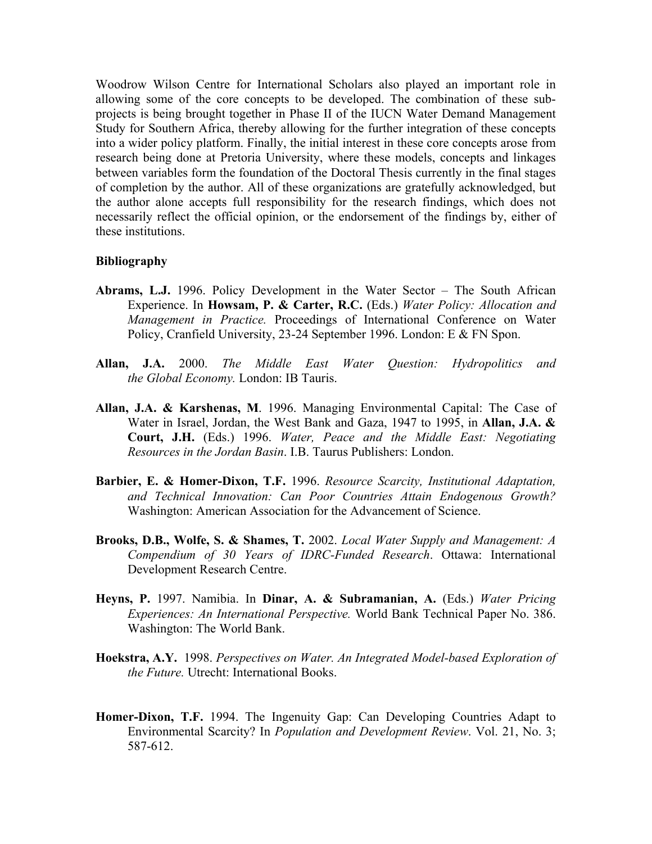Woodrow Wilson Centre for International Scholars also played an important role in allowing some of the core concepts to be developed. The combination of these subprojects is being brought together in Phase II of the IUCN Water Demand Management Study for Southern Africa, thereby allowing for the further integration of these concepts into a wider policy platform. Finally, the initial interest in these core concepts arose from research being done at Pretoria University, where these models, concepts and linkages between variables form the foundation of the Doctoral Thesis currently in the final stages of completion by the author. All of these organizations are gratefully acknowledged, but the author alone accepts full responsibility for the research findings, which does not necessarily reflect the official opinion, or the endorsement of the findings by, either of these institutions.

#### **Bibliography**

- **Abrams, L.J.** 1996. Policy Development in the Water Sector The South African Experience. In **Howsam, P. & Carter, R.C.** (Eds.) *Water Policy: Allocation and Management in Practice.* Proceedings of International Conference on Water Policy, Cranfield University, 23-24 September 1996. London: E & FN Spon.
- **Allan, J.A.** 2000. *The Middle East Water Question: Hydropolitics and the Global Economy.* London: IB Tauris.
- **Allan, J.A. & Karshenas, M**. 1996. Managing Environmental Capital: The Case of Water in Israel, Jordan, the West Bank and Gaza, 1947 to 1995, in **Allan, J.A. & Court, J.H.** (Eds.) 1996. *Water, Peace and the Middle East: Negotiating Resources in the Jordan Basin*. I.B. Taurus Publishers: London.
- **Barbier, E. & Homer-Dixon, T.F.** 1996. *Resource Scarcity, Institutional Adaptation, and Technical Innovation: Can Poor Countries Attain Endogenous Growth?* Washington: American Association for the Advancement of Science.
- **Brooks, D.B., Wolfe, S. & Shames, T.** 2002. *Local Water Supply and Management: A Compendium of 30 Years of IDRC-Funded Research*. Ottawa: International Development Research Centre.
- **Heyns, P.** 1997. Namibia. In **Dinar, A. & Subramanian, A.** (Eds.) *Water Pricing Experiences: An International Perspective.* World Bank Technical Paper No. 386. Washington: The World Bank.
- **Hoekstra, A.Y.** 1998. *Perspectives on Water. An Integrated Model-based Exploration of the Future.* Utrecht: International Books.
- **Homer-Dixon, T.F.** 1994. The Ingenuity Gap: Can Developing Countries Adapt to Environmental Scarcity? In *Population and Development Review*. Vol. 21, No. 3; 587-612.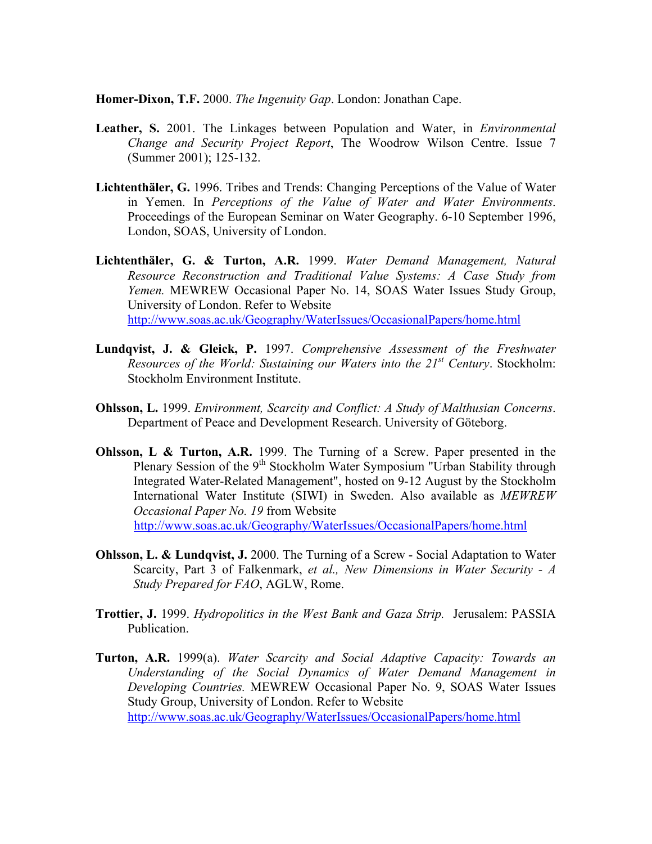**Homer-Dixon, T.F.** 2000. *The Ingenuity Gap*. London: Jonathan Cape.

- **Leather, S.** 2001. The Linkages between Population and Water, in *Environmental Change and Security Project Report*, The Woodrow Wilson Centre. Issue 7 (Summer 2001); 125-132.
- **Lichtenthäler, G.** 1996. Tribes and Trends: Changing Perceptions of the Value of Water in Yemen. In *Perceptions of the Value of Water and Water Environments*. Proceedings of the European Seminar on Water Geography. 6-10 September 1996, London, SOAS, University of London.
- **Lichtenthäler, G. & Turton, A.R.** 1999. *Water Demand Management, Natural Resource Reconstruction and Traditional Value Systems: A Case Study from Yemen.* MEWREW Occasional Paper No. 14, SOAS Water Issues Study Group, University of London. Refer to Website <http://www.soas.ac.uk/Geography/WaterIssues/OccasionalPapers/home.html>
- **Lundqvist, J. & Gleick, P.** 1997. *Comprehensive Assessment of the Freshwater Resources of the World: Sustaining our Waters into the 21<sup>st</sup> Century. Stockholm:* Stockholm Environment Institute.
- **Ohlsson, L.** 1999. *Environment, Scarcity and Conflict: A Study of Malthusian Concerns*. Department of Peace and Development Research. University of Göteborg.
- **Ohlsson, L & Turton, A.R.** 1999. The Turning of a Screw. Paper presented in the Plenary Session of the  $9<sup>th</sup>$  Stockholm Water Symposium "Urban Stability through Integrated Water-Related Management", hosted on 9-12 August by the Stockholm International Water Institute (SIWI) in Sweden. Also available as *MEWREW Occasional Paper No. 19* from Website <http://www.soas.ac.uk/Geography/WaterIssues/OccasionalPapers/home.html>
- **Ohlsson, L. & Lundqvist, J.** 2000. The Turning of a Screw Social Adaptation to Water Scarcity, Part 3 of Falkenmark, *et al., New Dimensions in Water Security - A Study Prepared for FAO*, AGLW, Rome.
- **Trottier, J.** 1999. *Hydropolitics in the West Bank and Gaza Strip.* Jerusalem: PASSIA Publication.
- **Turton, A.R.** 1999(a). *Water Scarcity and Social Adaptive Capacity: Towards an Understanding of the Social Dynamics of Water Demand Management in Developing Countries.* MEWREW Occasional Paper No. 9, SOAS Water Issues Study Group, University of London. Refer to Website <http://www.soas.ac.uk/Geography/WaterIssues/OccasionalPapers/home.html>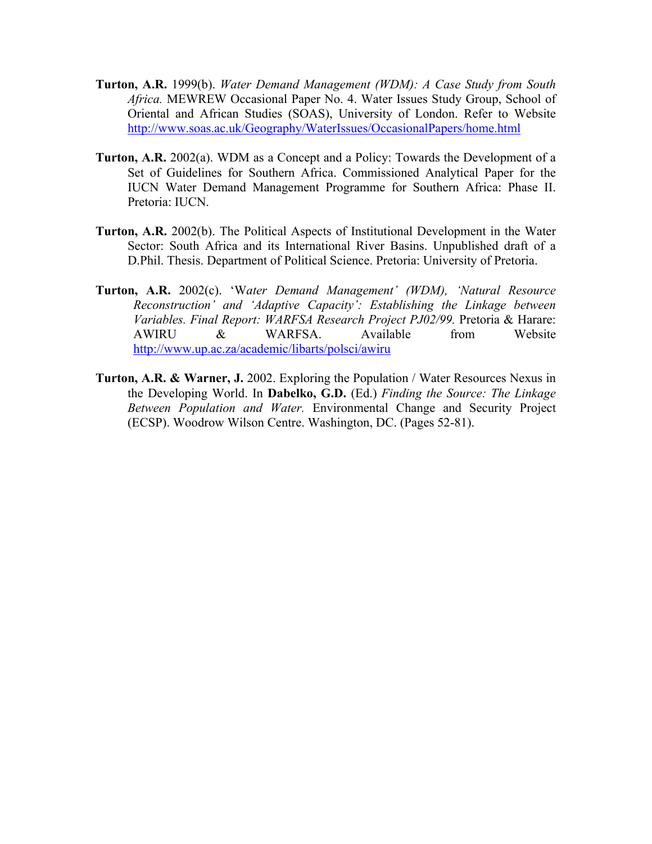- **Turton, A.R.** 1999(b). *Water Demand Management (WDM): A Case Study from South Africa.* MEWREW Occasional Paper No. 4. Water Issues Study Group, School of Oriental and African Studies (SOAS), University of London. Refer to Website <http://www.soas.ac.uk/Geography/WaterIssues/OccasionalPapers/home.html>
- **Turton, A.R.** 2002(a). WDM as a Concept and a Policy: Towards the Development of a Set of Guidelines for Southern Africa. Commissioned Analytical Paper for the IUCN Water Demand Management Programme for Southern Africa: Phase II. Pretoria: IUCN.
- **Turton, A.R.** 2002(b). The Political Aspects of Institutional Development in the Water Sector: South Africa and its International River Basins. Unpublished draft of a D.Phil. Thesis. Department of Political Science. Pretoria: University of Pretoria.
- **Turton, A.R.** 2002(c). 'W*ater Demand Management' (WDM), 'Natural Resource Reconstruction' and 'Adaptive Capacity': Establishing the Linkage between Variables. Final Report: WARFSA Research Project PJ02/99.* Pretoria & Harare: AWIRU & WARFSA. Available from Website <http://www.up.ac.za/academic/libarts/polsci/awiru>
- **Turton, A.R. & Warner, J.** 2002. Exploring the Population / Water Resources Nexus in the Developing World. In **Dabelko, G.D.** (Ed.) *Finding the Source: The Linkage Between Population and Water.* Environmental Change and Security Project (ECSP). Woodrow Wilson Centre. Washington, DC. (Pages 52-81).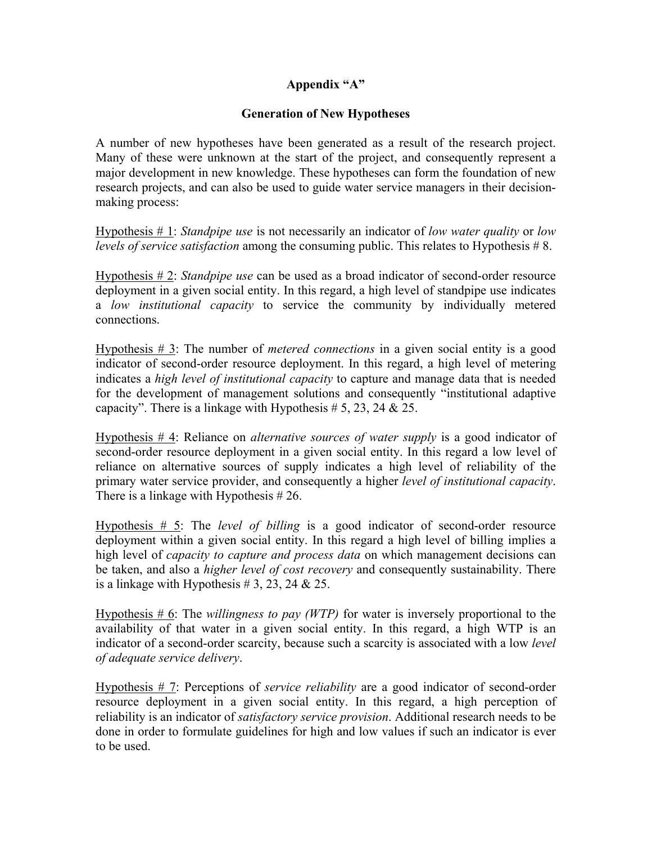## **Appendix "A"**

## **Generation of New Hypotheses**

A number of new hypotheses have been generated as a result of the research project. Many of these were unknown at the start of the project, and consequently represent a major development in new knowledge. These hypotheses can form the foundation of new research projects, and can also be used to guide water service managers in their decisionmaking process:

Hypothesis # 1: *Standpipe use* is not necessarily an indicator of *low water quality* or *low levels of service satisfaction* among the consuming public. This relates to Hypothesis #8.

Hypothesis # 2: *Standpipe use* can be used as a broad indicator of second-order resource deployment in a given social entity. In this regard, a high level of standpipe use indicates a *low institutional capacity* to service the community by individually metered connections.

Hypothesis # 3: The number of *metered connections* in a given social entity is a good indicator of second-order resource deployment. In this regard, a high level of metering indicates a *high level of institutional capacity* to capture and manage data that is needed for the development of management solutions and consequently "institutional adaptive capacity". There is a linkage with Hypothesis  $# 5, 23, 24 \& 25.$ 

Hypothesis # 4: Reliance on *alternative sources of water supply* is a good indicator of second-order resource deployment in a given social entity. In this regard a low level of reliance on alternative sources of supply indicates a high level of reliability of the primary water service provider, and consequently a higher *level of institutional capacity*. There is a linkage with Hypothesis # 26.

Hypothesis # 5: The *level of billing* is a good indicator of second-order resource deployment within a given social entity. In this regard a high level of billing implies a high level of *capacity to capture and process data* on which management decisions can be taken, and also a *higher level of cost recovery* and consequently sustainability. There is a linkage with Hypothesis  $# 3, 23, 24 \& 25.$ 

Hypothesis # 6: The *willingness to pay (WTP)* for water is inversely proportional to the availability of that water in a given social entity. In this regard, a high WTP is an indicator of a second-order scarcity, because such a scarcity is associated with a low *level of adequate service delivery*.

Hypothesis # 7: Perceptions of *service reliability* are a good indicator of second-order resource deployment in a given social entity. In this regard, a high perception of reliability is an indicator of *satisfactory service provision*. Additional research needs to be done in order to formulate guidelines for high and low values if such an indicator is ever to be used.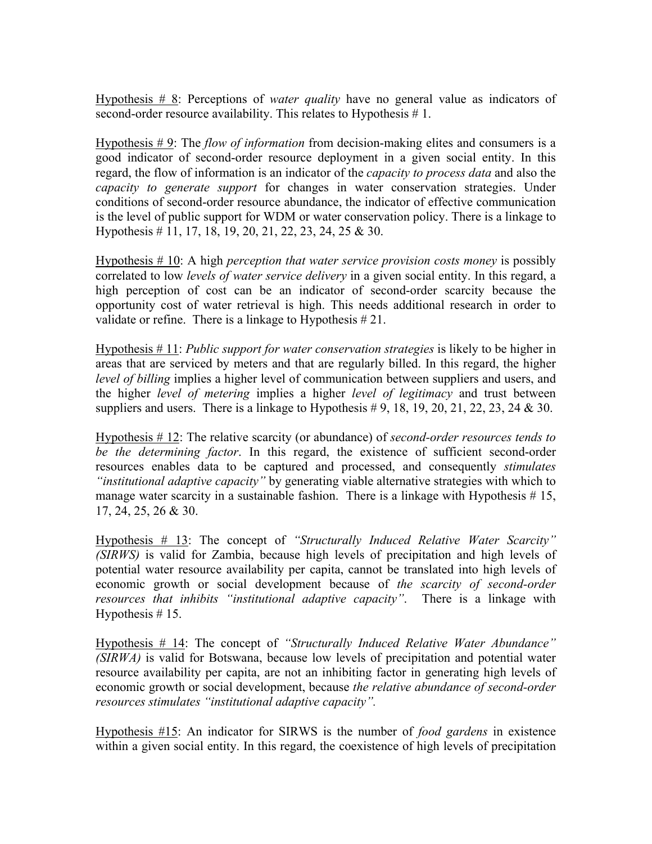Hypothesis # 8: Perceptions of *water quality* have no general value as indicators of second-order resource availability. This relates to Hypothesis #1.

Hypothesis # 9: The *flow of information* from decision-making elites and consumers is a good indicator of second-order resource deployment in a given social entity. In this regard, the flow of information is an indicator of the *capacity to process data* and also the *capacity to generate support* for changes in water conservation strategies. Under conditions of second-order resource abundance, the indicator of effective communication is the level of public support for WDM or water conservation policy. There is a linkage to Hypothesis # 11, 17, 18, 19, 20, 21, 22, 23, 24, 25 & 30.

Hypothesis # 10: A high *perception that water service provision costs money* is possibly correlated to low *levels of water service delivery* in a given social entity. In this regard, a high perception of cost can be an indicator of second-order scarcity because the opportunity cost of water retrieval is high. This needs additional research in order to validate or refine. There is a linkage to Hypothesis # 21.

Hypothesis # 11: *Public support for water conservation strategies* is likely to be higher in areas that are serviced by meters and that are regularly billed. In this regard, the higher *level of billing* implies a higher level of communication between suppliers and users, and the higher *level of metering* implies a higher *level of legitimacy* and trust between suppliers and users. There is a linkage to Hypothesis  $\#9, 18, 19, 20, 21, 22, 23, 24 \& 30$ .

Hypothesis # 12: The relative scarcity (or abundance) of *second-order resources tends to be the determining factor*. In this regard, the existence of sufficient second-order resources enables data to be captured and processed, and consequently *stimulates "institutional adaptive capacity"* by generating viable alternative strategies with which to manage water scarcity in a sustainable fashion. There is a linkage with Hypothesis  $# 15$ , 17, 24, 25, 26 & 30.

Hypothesis # 13: The concept of *"Structurally Induced Relative Water Scarcity" (SIRWS)* is valid for Zambia, because high levels of precipitation and high levels of potential water resource availability per capita, cannot be translated into high levels of economic growth or social development because of *the scarcity of second-order resources that inhibits "institutional adaptive capacity"*. There is a linkage with Hypothesis  $# 15$ .

Hypothesis # 14: The concept of *"Structurally Induced Relative Water Abundance" (SIRWA)* is valid for Botswana, because low levels of precipitation and potential water resource availability per capita, are not an inhibiting factor in generating high levels of economic growth or social development, because *the relative abundance of second-order resources stimulates "institutional adaptive capacity".*

Hypothesis #15: An indicator for SIRWS is the number of *food gardens* in existence within a given social entity. In this regard, the coexistence of high levels of precipitation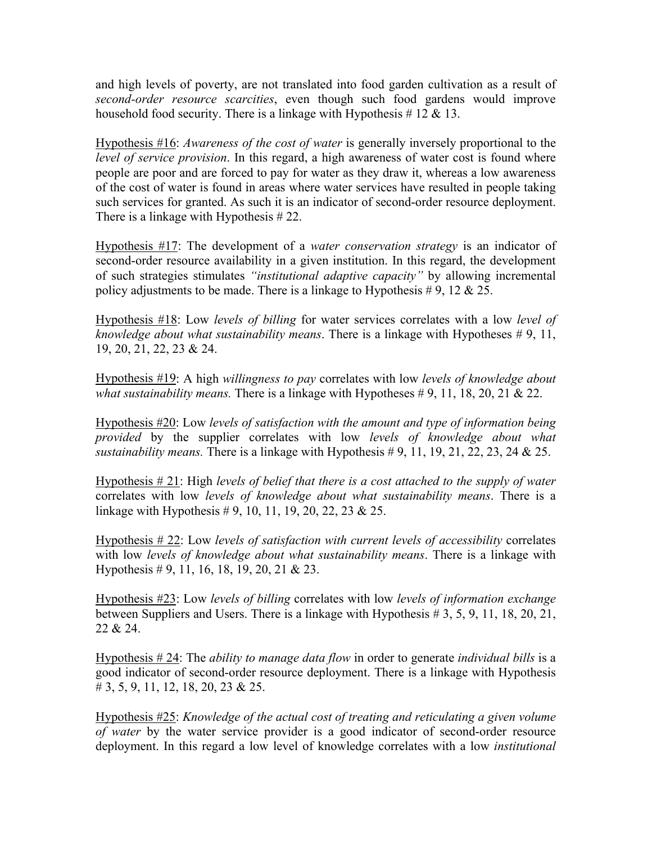and high levels of poverty, are not translated into food garden cultivation as a result of *second-order resource scarcities*, even though such food gardens would improve household food security. There is a linkage with Hypothesis  $\# 12 \& 13$ .

Hypothesis #16: *Awareness of the cost of water* is generally inversely proportional to the *level of service provision*. In this regard, a high awareness of water cost is found where people are poor and are forced to pay for water as they draw it, whereas a low awareness of the cost of water is found in areas where water services have resulted in people taking such services for granted. As such it is an indicator of second-order resource deployment. There is a linkage with Hypothesis # 22.

Hypothesis #17: The development of a *water conservation strategy* is an indicator of second-order resource availability in a given institution. In this regard, the development of such strategies stimulates *"institutional adaptive capacity"* by allowing incremental policy adjustments to be made. There is a linkage to Hypothesis # 9, 12  $\&$  25.

Hypothesis #18: Low *levels of billing* for water services correlates with a low *level of knowledge about what sustainability means*. There is a linkage with Hypotheses # 9, 11, 19, 20, 21, 22, 23 & 24.

Hypothesis #19: A high *willingness to pay* correlates with low *levels of knowledge about what sustainability means.* There is a linkage with Hypotheses # 9, 11, 18, 20, 21 & 22.

Hypothesis #20: Low *levels of satisfaction with the amount and type of information being provided* by the supplier correlates with low *levels of knowledge about what sustainability means.* There is a linkage with Hypothesis # 9, 11, 19, 21, 22, 23, 24 & 25.

Hypothesis # 21: High *levels of belief that there is a cost attached to the supply of water* correlates with low *levels of knowledge about what sustainability means*. There is a linkage with Hypothesis # 9, 10, 11, 19, 20, 22, 23 & 25.

Hypothesis # 22: Low *levels of satisfaction with current levels of accessibility* correlates with low *levels of knowledge about what sustainability means*. There is a linkage with Hypothesis # 9, 11, 16, 18, 19, 20, 21 & 23.

Hypothesis #23: Low *levels of billing* correlates with low *levels of information exchange* between Suppliers and Users. There is a linkage with Hypothesis # 3, 5, 9, 11, 18, 20, 21, 22 & 24.

Hypothesis # 24: The *ability to manage data flow* in order to generate *individual bills* is a good indicator of second-order resource deployment. There is a linkage with Hypothesis # 3, 5, 9, 11, 12, 18, 20, 23 & 25.

Hypothesis #25: *Knowledge of the actual cost of treating and reticulating a given volume of water* by the water service provider is a good indicator of second-order resource deployment. In this regard a low level of knowledge correlates with a low *institutional*